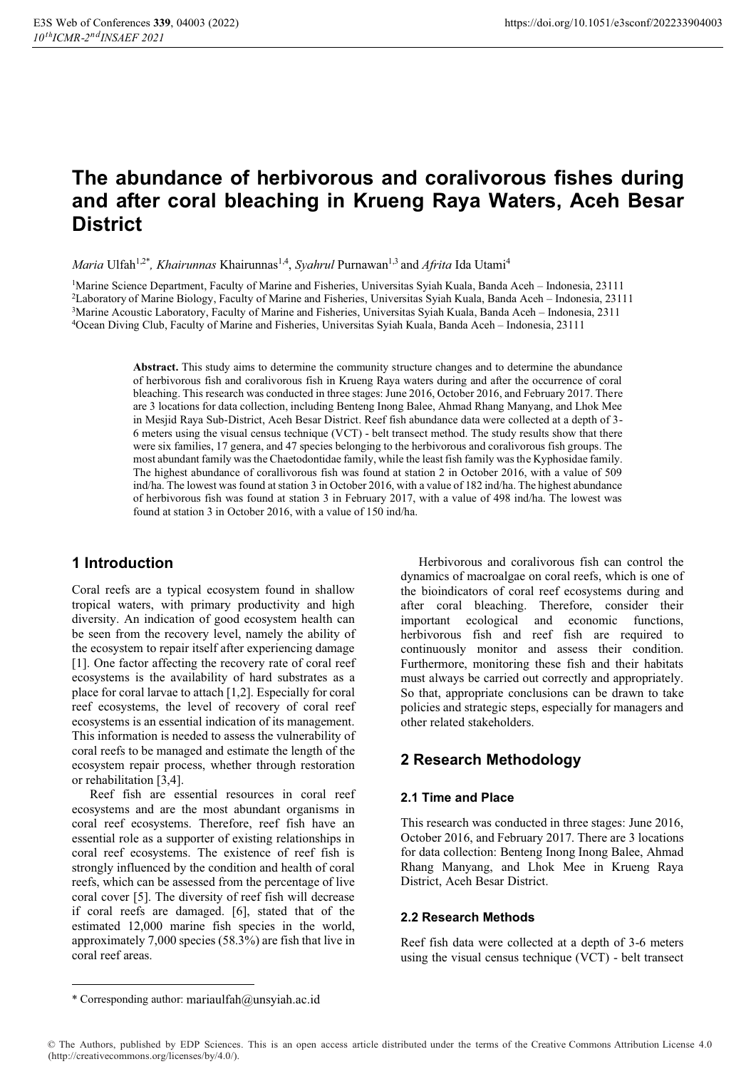# **The abundance of herbivorous and coralivorous fishes during and after coral bleaching in Krueng Raya Waters, Aceh Besar District**

*Maria Ulfah<sup>1,2\*</sup>*, *Khairunnas* Khairunnas<sup>1,4</sup>, *Syahrul* Purnawan<sup>1,3</sup> and *Afrita* Ida Utami<sup>4</sup>

<sup>1</sup>Marine Science Department, Faculty of Marine and Fisheries, Universitas Syiah Kuala, Banda Aceh – Indonesia, 23111<br><sup>2</sup>Laboratory of Marine Biology, Faculty of Marine and Fisheries, Universitas Syiah Kuala, Banda Aceh – 3Marine Acoustic Laboratory, Faculty of Marine and Fisheries, Universitas Syiah Kuala, Banda Aceh – Indonesia, 2311 4Ocean Diving Club, Faculty of Marine and Fisheries, Universitas Syiah Kuala, Banda Aceh – Indonesia, 23111

> **Abstract.** This study aims to determine the community structure changes and to determine the abundance of herbivorous fish and coralivorous fish in Krueng Raya waters during and after the occurrence of coral bleaching. This research was conducted in three stages: June 2016, October 2016, and February 2017. There are 3 locations for data collection, including Benteng Inong Balee, Ahmad Rhang Manyang, and Lhok Mee in Mesjid Raya Sub-District, Aceh Besar District. Reef fish abundance data were collected at a depth of 3- 6 meters using the visual census technique (VCT) - belt transect method. The study results show that there were six families, 17 genera, and 47 species belonging to the herbivorous and coralivorous fish groups. The most abundant family was the Chaetodontidae family, while the least fish family was the Kyphosidae family. The highest abundance of corallivorous fish was found at station 2 in October 2016, with a value of 509 ind/ha. The lowest was found at station 3 in October 2016, with a value of 182 ind/ha. The highest abundance of herbivorous fish was found at station 3 in February 2017, with a value of 498 ind/ha. The lowest was found at station 3 in October 2016, with a value of 150 ind/ha.

### **1 Introduction**

Coral reefs are a typical ecosystem found in shallow tropical waters, with primary productivity and high diversity. An indication of good ecosystem health can be seen from the recovery level, namely the ability of the ecosystem to repair itself after experiencing damage [1]. One factor affecting the recovery rate of coral reef ecosystems is the availability of hard substrates as a place for coral larvae to attach [1,2]. Especially for coral reef ecosystems, the level of recovery of coral reef ecosystems is an essential indication of its management. This information is needed to assess the vulnerability of coral reefs to be managed and estimate the length of the ecosystem repair process, whether through restoration or rehabilitation [3,4].

Reef fish are essential resources in coral reef ecosystems and are the most abundant organisms in coral reef ecosystems. Therefore, reef fish have an essential role as a supporter of existing relationships in coral reef ecosystems. The existence of reef fish is strongly influenced by the condition and health of coral reefs, which can be assessed from the percentage of live coral cover [5]. The diversity of reef fish will decrease if coral reefs are damaged. [6], stated that of the estimated 12,000 marine fish species in the world, approximately 7,000 species (58.3%) are fish that live in coral reef areas.

Herbivorous and coralivorous fish can control the dynamics of macroalgae on coral reefs, which is one of the bioindicators of coral reef ecosystems during and after coral bleaching. Therefore, consider their important ecological and economic functions, herbivorous fish and reef fish are required to continuously monitor and assess their condition. Furthermore, monitoring these fish and their habitats must always be carried out correctly and appropriately. So that, appropriate conclusions can be drawn to take policies and strategic steps, especially for managers and other related stakeholders.

# **2 Research Methodology**

### **2.1 Time and Place**

This research was conducted in three stages: June 2016, October 2016, and February 2017. There are 3 locations for data collection: Benteng Inong Inong Balee, Ahmad Rhang Manyang, and Lhok Mee in Krueng Raya District, Aceh Besar District.

#### **2.2 Research Methods**

Reef fish data were collected at a depth of 3-6 meters using the visual census technique (VCT) - belt transect

<sup>\*</sup> Corresponding author: mariaulfah@unsyiah.ac.id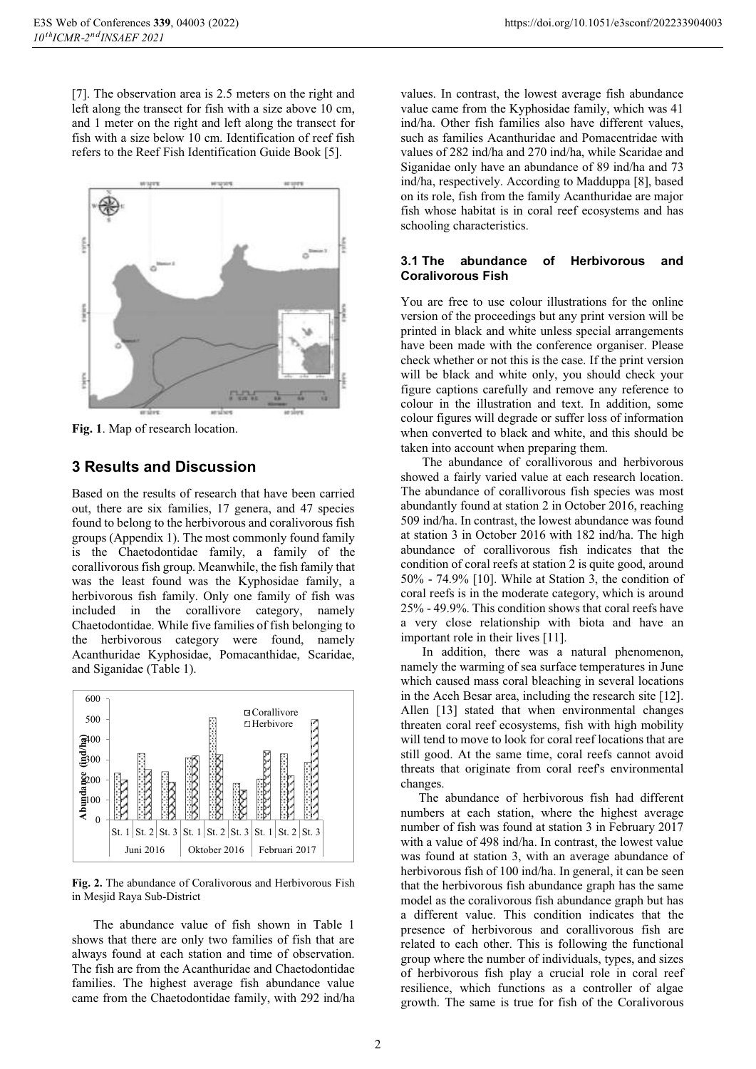[7]. The observation area is 2.5 meters on the right and left along the transect for fish with a size above 10 cm, and 1 meter on the right and left along the transect for fish with a size below 10 cm. Identification of reef fish refers to the Reef Fish Identification Guide Book [5].



**Fig. 1**. Map of research location.

### **3 Results and Discussion**

Based on the results of research that have been carried out, there are six families, 17 genera, and 47 species found to belong to the herbivorous and coralivorous fish groups (Appendix 1). The most commonly found family is the Chaetodontidae family, a family of the corallivorous fish group. Meanwhile, the fish family that was the least found was the Kyphosidae family, a herbivorous fish family. Only one family of fish was included in the corallivore category, namely Chaetodontidae. While five families of fish belonging to the herbivorous category were found, namely Acanthuridae Kyphosidae, Pomacanthidae, Scaridae, and Siganidae (Table 1).



**Fig. 2.** The abundance of Coralivorous and Herbivorous Fish in Mesjid Raya Sub-District

 The abundance value of fish shown in Table 1 shows that there are only two families of fish that are always found at each station and time of observation. The fish are from the Acanthuridae and Chaetodontidae families. The highest average fish abundance value came from the Chaetodontidae family, with 292 ind/ha

values. In contrast, the lowest average fish abundance value came from the Kyphosidae family, which was 41 ind/ha. Other fish families also have different values, such as families Acanthuridae and Pomacentridae with values of 282 ind/ha and 270 ind/ha, while Scaridae and Siganidae only have an abundance of 89 ind/ha and 73 ind/ha, respectively. According to Madduppa [8], based on its role, fish from the family Acanthuridae are major fish whose habitat is in coral reef ecosystems and has schooling characteristics.

#### **3.1 The abundance of Herbivorous and Coralivorous Fish**

You are free to use colour illustrations for the online version of the proceedings but any print version will be printed in black and white unless special arrangements have been made with the conference organiser. Please check whether or not this is the case. If the print version will be black and white only, you should check your figure captions carefully and remove any reference to colour in the illustration and text. In addition, some colour figures will degrade or suffer loss of information when converted to black and white, and this should be taken into account when preparing them.

 The abundance of corallivorous and herbivorous showed a fairly varied value at each research location. The abundance of corallivorous fish species was most abundantly found at station 2 in October 2016, reaching 509 ind/ha. In contrast, the lowest abundance was found at station 3 in October 2016 with 182 ind/ha. The high abundance of corallivorous fish indicates that the condition of coral reefs at station 2 is quite good, around 50% - 74.9% [10]. While at Station 3, the condition of coral reefs is in the moderate category, which is around 25% - 49.9%. This condition shows that coral reefs have a very close relationship with biota and have an important role in their lives [11].

In addition, there was a natural phenomenon, namely the warming of sea surface temperatures in June which caused mass coral bleaching in several locations in the Aceh Besar area, including the research site [12]. Allen [13] stated that when environmental changes threaten coral reef ecosystems, fish with high mobility will tend to move to look for coral reef locations that are still good. At the same time, coral reefs cannot avoid threats that originate from coral reef's environmental changes.

The abundance of herbivorous fish had different numbers at each station, where the highest average number of fish was found at station 3 in February 2017 with a value of 498 ind/ha. In contrast, the lowest value was found at station 3, with an average abundance of herbivorous fish of 100 ind/ha. In general, it can be seen that the herbivorous fish abundance graph has the same model as the coralivorous fish abundance graph but has a different value. This condition indicates that the presence of herbivorous and corallivorous fish are related to each other. This is following the functional group where the number of individuals, types, and sizes of herbivorous fish play a crucial role in coral reef resilience, which functions as a controller of algae growth. The same is true for fish of the Coralivorous